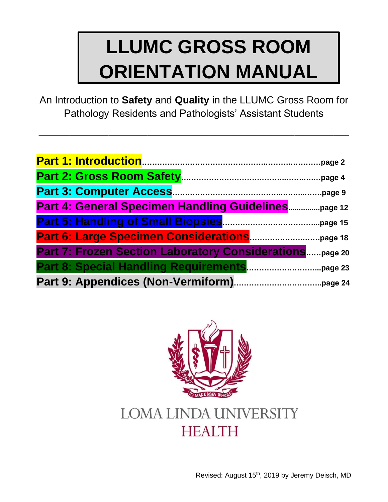An Introduction to **Safety** and **Quality** in the LLUMC Gross Room for Pathology Residents and Pathologists' Assistant Students

**\_\_\_\_\_\_\_\_\_\_\_\_\_\_\_\_\_\_\_\_\_\_\_\_\_\_\_\_\_\_\_\_\_\_\_\_\_\_\_\_**

| Part 4: General Specimen Handling Guidelinespage 12                |
|--------------------------------------------------------------------|
|                                                                    |
|                                                                    |
| <b>Part 7: Frozen Section Laboratory Considerations</b><br>page 20 |
|                                                                    |
|                                                                    |



# **LOMA LINDA UNIVERSITY HEALTH**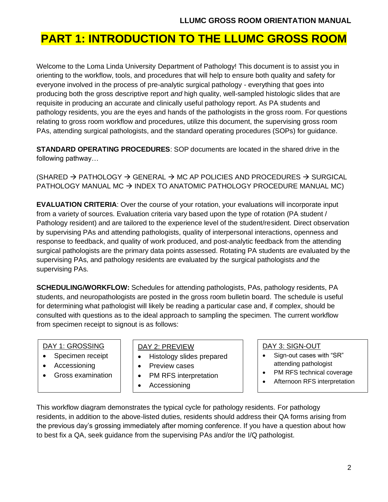### **PART 1: INTRODUCTION TO THE LLUMC GROSS ROOM**

Welcome to the Loma Linda University Department of Pathology! This document is to assist you in orienting to the workflow, tools, and procedures that will help to ensure both quality and safety for everyone involved in the process of pre-analytic surgical pathology - everything that goes into producing both the gross descriptive report *and* high quality, well-sampled histologic slides that are requisite in producing an accurate and clinically useful pathology report. As PA students and pathology residents, you are the eyes and hands of the pathologists in the gross room. For questions relating to gross room workflow and procedures, utilize this document, the supervising gross room PAs, attending surgical pathologists, and the standard operating procedures (SOPs) for guidance.

**STANDARD OPERATING PROCEDURES**: SOP documents are located in the shared drive in the following pathway…

(SHARED  $\rightarrow$  PATHOLOGY  $\rightarrow$  GENERAL  $\rightarrow$  MC AP POLICIES AND PROCEDURES  $\rightarrow$  SURGICAL PATHOLOGY MANUAL MC  $\rightarrow$  INDEX TO ANATOMIC PATHOLOGY PROCEDURE MANUAL MC)

**EVALUATION CRITERIA**: Over the course of your rotation, your evaluations will incorporate input from a variety of sources. Evaluation criteria vary based upon the type of rotation (PA student / Pathology resident) and are tailored to the experience level of the student/resident. Direct observation by supervising PAs and attending pathologists, quality of interpersonal interactions, openness and response to feedback, and quality of work produced, and post-analytic feedback from the attending surgical pathologists are the primary data points assessed. Rotating PA students are evaluated by the supervising PAs, and pathology residents are evaluated by the surgical pathologists *and* the supervising PAs.

**SCHEDULING/WORKFLOW:** Schedules for attending pathologists, PAs, pathology residents, PA students, and neuropathologists are posted in the gross room bulletin board. The schedule is useful for determining what pathologist will likely be reading a particular case and, if complex, should be consulted with questions as to the ideal approach to sampling the specimen. The current workflow from specimen receipt to signout is as follows:

#### DAY 1: GROSSING

- Specimen receipt
- Accessioning
- Gross examination

#### DAY 2: PREVIEW

- Histology slides prepared
- Preview cases
- PM RFS interpretation
- Accessioning

• Gross examination

#### DAY 3: SIGN-OUT

- Sign-out cases with "SR" attending pathologist
- PM RFS technical coverage
- Afternoon RFS interpretation

This workflow diagram demonstrates the typical cycle for pathology residents. For pathology residents, in addition to the above-listed duties, residents should address their QA forms arising from the previous day's grossing immediately after morning conference. If you have a question about how to best fix a QA, seek guidance from the supervising PAs and/or the I/Q pathologist.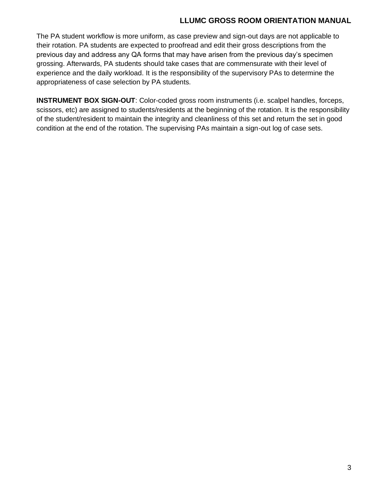The PA student workflow is more uniform, as case preview and sign-out days are not applicable to their rotation. PA students are expected to proofread and edit their gross descriptions from the previous day and address any QA forms that may have arisen from the previous day's specimen grossing. Afterwards, PA students should take cases that are commensurate with their level of experience and the daily workload. It is the responsibility of the supervisory PAs to determine the appropriateness of case selection by PA students.

**INSTRUMENT BOX SIGN-OUT**: Color-coded gross room instruments (i.e. scalpel handles, forceps, scissors, etc) are assigned to students/residents at the beginning of the rotation. It is the responsibility of the student/resident to maintain the integrity and cleanliness of this set and return the set in good condition at the end of the rotation. The supervising PAs maintain a sign-out log of case sets.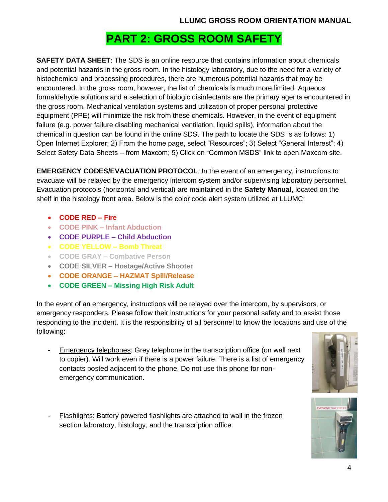### **PART 2: GROSS ROOM SAFETY**

**SAFETY DATA SHEET**: The SDS is an online resource that contains information about chemicals and potential hazards in the gross room. In the histology laboratory, due to the need for a variety of histochemical and processing procedures, there are numerous potential hazards that may be encountered. In the gross room, however, the list of chemicals is much more limited. Aqueous formaldehyde solutions and a selection of biologic disinfectants are the primary agents encountered in the gross room. Mechanical ventilation systems and utilization of proper personal protective equipment (PPE) will minimize the risk from these chemicals. However, in the event of equipment failure (e.g. power failure disabling mechanical ventilation, liquid spills), information about the chemical in question can be found in the online SDS. The path to locate the SDS is as follows: 1) Open Internet Explorer; 2) From the home page, select "Resources"; 3) Select "General Interest"; 4) Select Safety Data Sheets – from Maxcom; 5) Click on "Common MSDS" link to open Maxcom site.

**EMERGENCY CODES/EVACUATION PROTOCOL**: In the event of an emergency, instructions to evacuate will be relayed by the emergency intercom system and/or supervising laboratory personnel. Evacuation protocols (horizontal and vertical) are maintained in the **Safety Manual**, located on the shelf in the histology front area. Below is the color code alert system utilized at LLUMC:

- **CODE RED – Fire**
- **CODE PINK – Infant Abduction**
- **CODE PURPLE – Child Abduction**
- **CODE YELLOW – Bomb Threat**
- **CODE GRAY – Combative Person**
- **CODE SILVER – Hostage/Active Shooter**
- **CODE ORANGE – HAZMAT Spill/Release**
- **CODE GREEN – Missing High Risk Adult**

In the event of an emergency, instructions will be relayed over the intercom, by supervisors, or emergency responders. Please follow their instructions for your personal safety and to assist those responding to the incident. It is the responsibility of all personnel to know the locations and use of the following:

- Emergency telephones: Grey telephone in the transcription office (on wall next to copier). Will work even if there is a power failure. There is a list of emergency contacts posted adjacent to the phone. Do not use this phone for nonemergency communication.
- Flashlights: Battery powered flashlights are attached to wall in the frozen section laboratory, histology, and the transcription office.



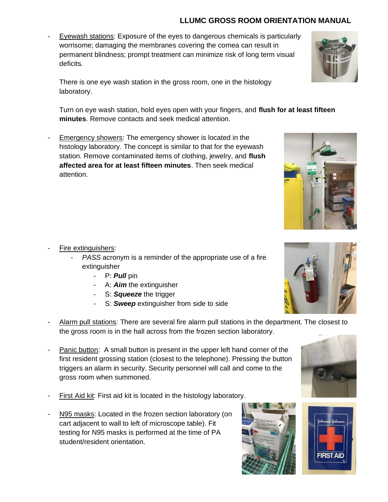- Eyewash stations: Exposure of the eyes to dangerous chemicals is particularly worrisome; damaging the membranes covering the cornea can result in permanent blindness; prompt treatment can minimize risk of long term visual deficits.

There is one eye wash station in the gross room, one in the histology laboratory.

Turn on eye wash station, hold eyes open with your fingers, and **flush for at least fifteen minutes**. Remove contacts and seek medical attention.

- Emergency showers: The emergency shower is located in the histology laboratory. The concept is similar to that for the eyewash station. Remove contaminated items of clothing, jewelry, and **flush affected area for at least fifteen minutes**. Then seek medical attention.

- Fire extinguishers:
	- *PASS* acronym is a reminder of the appropriate use of a fire extinguisher
		- P: *Pull* pin
		- A: *Aim* the extinguisher
		- S: *Squeeze* the trigger
		- S: **Sweep** extinguisher from side to side
- Alarm pull stations: There are several fire alarm pull stations in the department. The closest to the gross room is in the hall across from the frozen section laboratory.
- Panic button: A small button is present in the upper left hand corner of the first resident grossing station (closest to the telephone). Pressing the button triggers an alarm in security. Security personnel will call and come to the gross room when summoned.
- First Aid kit: First aid kit is located in the histology laboratory.
- N95 masks: Located in the frozen section laboratory (on cart adjacent to wall to left of microscope table). Fit testing for N95 masks is performed at the time of PA student/resident orientation.









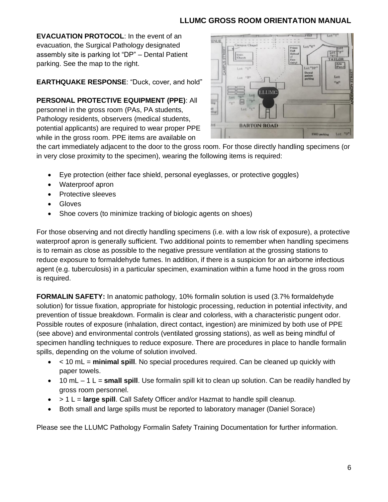**EVACUATION PROTOCOL**: In the event of an evacuation, the Surgical Pathology designated assembly site is parking lot "DP" – Dental Patient parking. See the map to the right.

#### **EARTHQUAKE RESPONSE**: "Duck, cover, and hold"

**PERSONAL PROTECTIVE EQUIPMENT (PPE)**: All personnel in the gross room (PAs, PA students, Pathology residents, observers (medical students, potential applicants) are required to wear proper PPE while in the gross room. PPE items are available on



the cart immediately adjacent to the door to the gross room. For those directly handling specimens (or in very close proximity to the specimen), wearing the following items is required:

- Eye protection (either face shield, personal eyeglasses, or protective goggles)
- Waterproof apron
- Protective sleeves
- Gloves
- Shoe covers (to minimize tracking of biologic agents on shoes)

For those observing and not directly handling specimens (i.e. with a low risk of exposure), a protective waterproof apron is generally sufficient. Two additional points to remember when handling specimens is to remain as close as possible to the negative pressure ventilation at the grossing stations to reduce exposure to formaldehyde fumes. In addition, if there is a suspicion for an airborne infectious agent (e.g. tuberculosis) in a particular specimen, examination within a fume hood in the gross room is required.

**FORMALIN SAFETY:** In anatomic pathology, 10% formalin solution is used (3.7% formaldehyde solution) for tissue fixation, appropriate for histologic processing, reduction in potential infectivity, and prevention of tissue breakdown. Formalin is clear and colorless, with a characteristic pungent odor. Possible routes of exposure (inhalation, direct contact, ingestion) are minimized by both use of PPE (see above) and environmental controls (ventilated grossing stations), as well as being mindful of specimen handling techniques to reduce exposure. There are procedures in place to handle formalin spills, depending on the volume of solution involved.

- < 10 mL = **minimal spill**. No special procedures required. Can be cleaned up quickly with paper towels.
- 10 mL 1 L = **small spill**. Use formalin spill kit to clean up solution. Can be readily handled by gross room personnel.
- > 1 L = **large spill**. Call Safety Officer and/or Hazmat to handle spill cleanup.
- Both small and large spills must be reported to laboratory manager (Daniel Sorace)

Please see the LLUMC Pathology Formalin Safety Training Documentation for further information.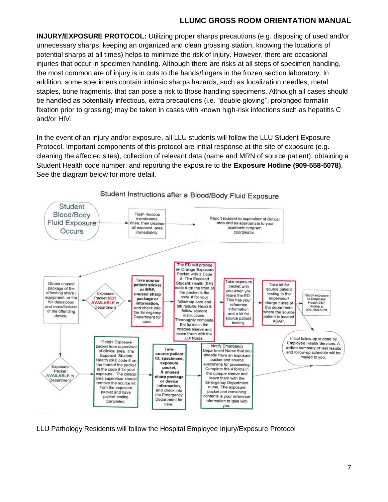**INJURY/EXPOSURE PROTOCOL:** Utilizing proper sharps precautions (e.g. disposing of used and/or unnecessary sharps, keeping an organized and clean grossing station, knowing the locations of potential sharps at all times) helps to minimize the risk of injury. However, there are occasional injuries that occur in specimen handling. Although there are risks at all steps of specimen handling, the most common are of injury is in cuts to the hands/fingers in the frozen section laboratory. In addition, some specimens contain intrinsic sharps hazards, such as localization needles, metal staples, bone fragments, that can pose a risk to those handling specimens. Although all cases should be handled as potentially infectious, extra precautions (i.e. "double gloving", prolonged formalin fixation prior to grossing) may be taken in cases with known high-risk infections such as hepatitis C and/or HIV.

In the event of an injury and/or exposure, all LLU students will follow the LLU Student Exposure Protocol. Important components of this protocol are initial response at the site of exposure (e.g. cleaning the affected sites), collection of relevant data (name and MRN of source patient), obtaining a Student Health code number, and reporting the exposure to the **Exposure Hotline (909-558-5078)**. See the diagram below for more detail.



### Student Instructions after a Blood/Body Fluid Exposure

LLU Pathology Residents will follow the Hospital Employee Injury/Exposure Protocol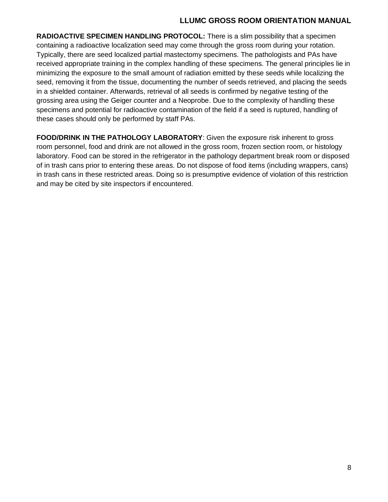**RADIOACTIVE SPECIMEN HANDLING PROTOCOL:** There is a slim possibility that a specimen containing a radioactive localization seed may come through the gross room during your rotation. Typically, there are seed localized partial mastectomy specimens. The pathologists and PAs have received appropriate training in the complex handling of these specimens. The general principles lie in minimizing the exposure to the small amount of radiation emitted by these seeds while localizing the seed, removing it from the tissue, documenting the number of seeds retrieved, and placing the seeds in a shielded container. Afterwards, retrieval of all seeds is confirmed by negative testing of the grossing area using the Geiger counter and a Neoprobe. Due to the complexity of handling these specimens and potential for radioactive contamination of the field if a seed is ruptured, handling of these cases should only be performed by staff PAs.

**FOOD/DRINK IN THE PATHOLOGY LABORATORY**: Given the exposure risk inherent to gross room personnel, food and drink are not allowed in the gross room, frozen section room, or histology laboratory. Food can be stored in the refrigerator in the pathology department break room or disposed of in trash cans prior to entering these areas. Do not dispose of food items (including wrappers, cans) in trash cans in these restricted areas. Doing so is presumptive evidence of violation of this restriction and may be cited by site inspectors if encountered.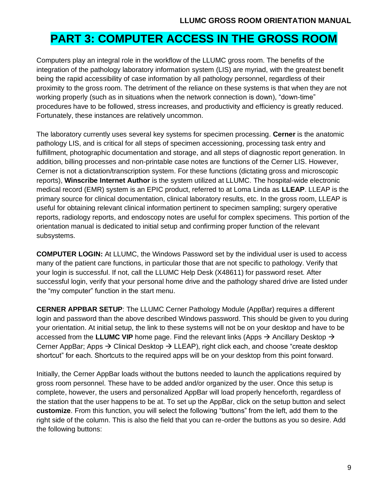### **PART 3: COMPUTER ACCESS IN THE GROSS ROOM**

Computers play an integral role in the workflow of the LLUMC gross room. The benefits of the integration of the pathology laboratory information system (LIS) are myriad, with the greatest benefit being the rapid accessibility of case information by all pathology personnel, regardless of their proximity to the gross room. The detriment of the reliance on these systems is that when they are not working properly (such as in situations when the network connection is down), "down-time" procedures have to be followed, stress increases, and productivity and efficiency is greatly reduced. Fortunately, these instances are relatively uncommon.

The laboratory currently uses several key systems for specimen processing. **Cerner** is the anatomic pathology LIS, and is critical for all steps of specimen accessioning, processing task entry and fulfillment, photographic documentation and storage, and all steps of diagnostic report generation. In addition, billing processes and non-printable case notes are functions of the Cerner LIS. However, Cerner is not a dictation/transcription system. For these functions (dictating gross and microscopic reports), **Winscribe Internet Author** is the system utilized at LLUMC. The hospital-wide electronic medical record (EMR) system is an EPIC product, referred to at Loma Linda as **LLEAP**. LLEAP is the primary source for clinical documentation, clinical laboratory results, etc. In the gross room, LLEAP is useful for obtaining relevant clinical information pertinent to specimen sampling; surgery operative reports, radiology reports, and endoscopy notes are useful for complex specimens. This portion of the orientation manual is dedicated to initial setup and confirming proper function of the relevant subsystems.

**COMPUTER LOGIN:** At LLUMC, the Windows Password set by the individual user is used to access many of the patient care functions, in particular those that are not specific to pathology. Verify that your login is successful. If not, call the LLUMC Help Desk (X48611) for password reset. After successful login, verify that your personal home drive and the pathology shared drive are listed under the "my computer" function in the start menu.

**CERNER APPBAR SETUP**: The LLUMC Cerner Pathology Module (AppBar) requires a different login and password than the above described Windows password. This should be given to you during your orientation. At initial setup, the link to these systems will not be on your desktop and have to be accessed from the **LLUMC VIP** home page. Find the relevant links (Apps → Ancillary Desktop → Cerner AppBar; Apps  $\rightarrow$  Clinical Desktop  $\rightarrow$  LLEAP), right click each, and choose "create desktop shortcut" for each. Shortcuts to the required apps will be on your desktop from this point forward.

Initially, the Cerner AppBar loads without the buttons needed to launch the applications required by gross room personnel. These have to be added and/or organized by the user. Once this setup is complete, however, the users and personalized AppBar will load properly henceforth, regardless of the station that the user happens to be at. To set up the AppBar, click on the setup button and select **customize**. From this function, you will select the following "buttons" from the left, add them to the right side of the column. This is also the field that you can re-order the buttons as you so desire. Add the following buttons: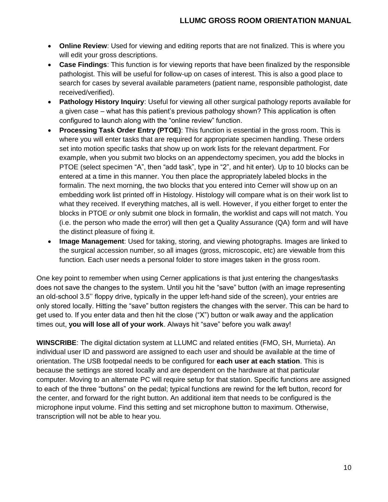- **Online Review**: Used for viewing and editing reports that are not finalized. This is where you will edit your gross descriptions.
- **Case Findings**: This function is for viewing reports that have been finalized by the responsible pathologist. This will be useful for follow-up on cases of interest. This is also a good place to search for cases by several available parameters (patient name, responsible pathologist, date received/verified).
- **Pathology History Inquiry**: Useful for viewing all other surgical pathology reports available for a given case – what has this patient's previous pathology shown? This application is often configured to launch along with the "online review" function.
- **Processing Task Order Entry (PTOE)**: This function is essential in the gross room. This is where you will enter tasks that are required for appropriate specimen handling. These orders set into motion specific tasks that show up on work lists for the relevant department. For example, when you submit two blocks on an appendectomy specimen, you add the blocks in PTOE (select specimen "A", then "add task", type in "2", and hit enter). Up to 10 blocks can be entered at a time in this manner. You then place the appropriately labeled blocks in the formalin. The next morning, the two blocks that you entered into Cerner will show up on an embedding work list printed off in Histology. Histology will compare what is on their work list to what they received. If everything matches, all is well. However, if you either forget to enter the blocks in PTOE *or* only submit one block in formalin, the worklist and caps will not match. You (i.e. the person who made the error) will then get a Quality Assurance (QA) form and will have the distinct pleasure of fixing it.
- **Image Management**: Used for taking, storing, and viewing photographs. Images are linked to the surgical accession number, so all images (gross, microscopic, etc) are viewable from this function. Each user needs a personal folder to store images taken in the gross room.

One key point to remember when using Cerner applications is that just entering the changes/tasks does not save the changes to the system. Until you hit the "save" button (with an image representing an old-school 3.5'' floppy drive, typically in the upper left-hand side of the screen), your entries are only stored locally. Hitting the "save" button registers the changes with the server. This can be hard to get used to. If you enter data and then hit the close ("X") button or walk away and the application times out, **you will lose all of your work**. Always hit "save" before you walk away!

**WINSCRIBE**: The digital dictation system at LLUMC and related entities (FMO, SH, Murrieta). An individual user ID and password are assigned to each user and should be available at the time of orientation. The USB footpedal needs to be configured for **each user at each station**. This is because the settings are stored locally and are dependent on the hardware at that particular computer. Moving to an alternate PC will require setup for that station. Specific functions are assigned to each of the three "buttons" on the pedal; typical functions are rewind for the left button, record for the center, and forward for the right button. An additional item that needs to be configured is the microphone input volume. Find this setting and set microphone button to maximum. Otherwise, transcription will not be able to hear you.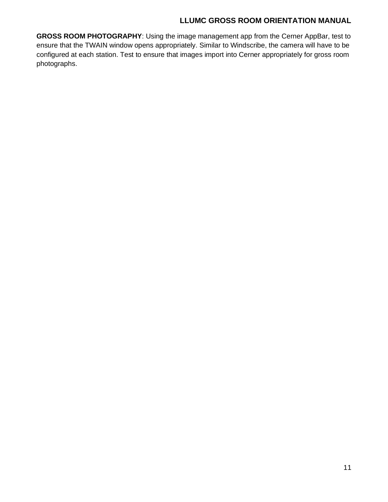**GROSS ROOM PHOTOGRAPHY**: Using the image management app from the Cerner AppBar, test to ensure that the TWAIN window opens appropriately. Similar to Windscribe, the camera will have to be configured at each station. Test to ensure that images import into Cerner appropriately for gross room photographs.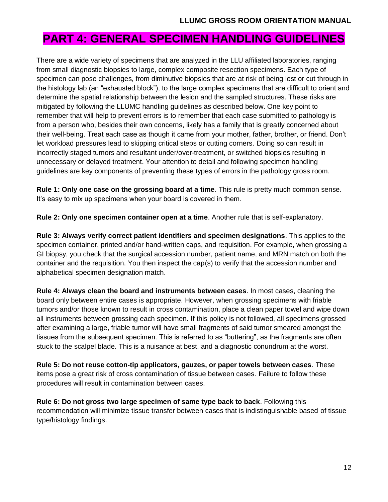### **PART 4: GENERAL SPECIMEN HANDLING GUIDELINES**

There are a wide variety of specimens that are analyzed in the LLU affiliated laboratories, ranging from small diagnostic biopsies to large, complex composite resection specimens. Each type of specimen can pose challenges, from diminutive biopsies that are at risk of being lost or cut through in the histology lab (an "exhausted block"), to the large complex specimens that are difficult to orient and determine the spatial relationship between the lesion and the sampled structures. These risks are mitigated by following the LLUMC handling guidelines as described below. One key point to remember that will help to prevent errors is to remember that each case submitted to pathology is from a person who, besides their own concerns, likely has a family that is greatly concerned about their well-being. Treat each case as though it came from your mother, father, brother, or friend. Don't let workload pressures lead to skipping critical steps or cutting corners. Doing so can result in incorrectly staged tumors and resultant under/over-treatment, or switched biopsies resulting in unnecessary or delayed treatment. Your attention to detail and following specimen handling guidelines are key components of preventing these types of errors in the pathology gross room.

**Rule 1: Only one case on the grossing board at a time**. This rule is pretty much common sense. It's easy to mix up specimens when your board is covered in them.

**Rule 2: Only one specimen container open at a time**. Another rule that is self-explanatory.

**Rule 3: Always verify correct patient identifiers and specimen designations**. This applies to the specimen container, printed and/or hand-written caps, and requisition. For example, when grossing a GI biopsy, you check that the surgical accession number, patient name, and MRN match on both the container and the requisition. You then inspect the cap(s) to verify that the accession number and alphabetical specimen designation match.

**Rule 4: Always clean the board and instruments between cases**. In most cases, cleaning the board only between entire cases is appropriate. However, when grossing specimens with friable tumors and/or those known to result in cross contamination, place a clean paper towel and wipe down all instruments between grossing each specimen. If this policy is not followed, all specimens grossed after examining a large, friable tumor will have small fragments of said tumor smeared amongst the tissues from the subsequent specimen. This is referred to as "buttering", as the fragments are often stuck to the scalpel blade. This is a nuisance at best, and a diagnostic conundrum at the worst.

**Rule 5: Do not reuse cotton-tip applicators, gauzes, or paper towels between cases**. These items pose a great risk of cross contamination of tissue between cases. Failure to follow these procedures will result in contamination between cases.

**Rule 6: Do not gross two large specimen of same type back to back**. Following this recommendation will minimize tissue transfer between cases that is indistinguishable based of tissue type/histology findings.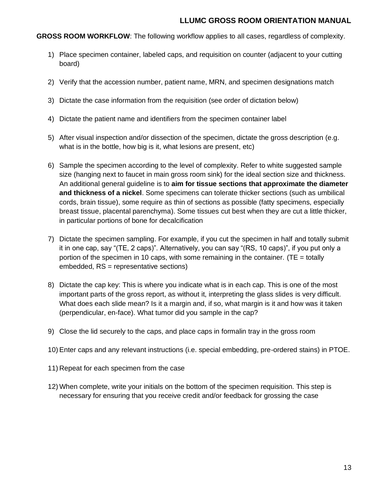**GROSS ROOM WORKFLOW**: The following workflow applies to all cases, regardless of complexity.

- 1) Place specimen container, labeled caps, and requisition on counter (adjacent to your cutting board)
- 2) Verify that the accession number, patient name, MRN, and specimen designations match
- 3) Dictate the case information from the requisition (see order of dictation below)
- 4) Dictate the patient name and identifiers from the specimen container label
- 5) After visual inspection and/or dissection of the specimen, dictate the gross description (e.g. what is in the bottle, how big is it, what lesions are present, etc)
- 6) Sample the specimen according to the level of complexity. Refer to white suggested sample size (hanging next to faucet in main gross room sink) for the ideal section size and thickness. An additional general guideline is to **aim for tissue sections that approximate the diameter and thickness of a nickel**. Some specimens can tolerate thicker sections (such as umbilical cords, brain tissue), some require as thin of sections as possible (fatty specimens, especially breast tissue, placental parenchyma). Some tissues cut best when they are cut a little thicker, in particular portions of bone for decalcification
- 7) Dictate the specimen sampling. For example, if you cut the specimen in half and totally submit it in one cap, say "(TE, 2 caps)". Alternatively, you can say "(RS, 10 caps)", if you put only a portion of the specimen in 10 caps, with some remaining in the container. (TE = totally embedded, RS = representative sections)
- 8) Dictate the cap key: This is where you indicate what is in each cap. This is one of the most important parts of the gross report, as without it, interpreting the glass slides is very difficult. What does each slide mean? Is it a margin and, if so, what margin is it and how was it taken (perpendicular, en-face). What tumor did you sample in the cap?
- 9) Close the lid securely to the caps, and place caps in formalin tray in the gross room
- 10) Enter caps and any relevant instructions (i.e. special embedding, pre-ordered stains) in PTOE.
- 11) Repeat for each specimen from the case
- 12) When complete, write your initials on the bottom of the specimen requisition. This step is necessary for ensuring that you receive credit and/or feedback for grossing the case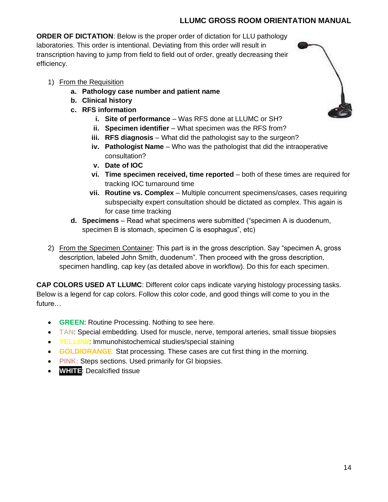**ORDER OF DICTATION**: Below is the proper order of dictation for LLU pathology laboratories. This order is intentional. Deviating from this order will result in transcription having to jump from field to field out of order, greatly decreasing their efficiency.

- 1) From the Requisition
	- **a. Pathology case number and patient name**
	- **b. Clinical history**
	- **c. RFS information**
		- **i. Site of performance** Was RFS done at LLUMC or SH?
		- **ii.** Specimen identifier What specimen was the RFS from?
		- **iii. RFS diagnosis** What did the pathologist say to the surgeon?
		- **iv. Pathologist Name** Who was the pathologist that did the intraoperative consultation?
		- **v. Date of IOC**
		- **vi. Time specimen received, time reported** both of these times are required for tracking IOC turnaround time
		- **vii. Routine vs. Complex** Multiple concurrent specimens/cases, cases requiring subspecialty expert consultation should be dictated as complex. This again is for case time tracking
	- **d. Specimens** Read what specimens were submitted ("specimen A is duodenum, specimen B is stomach, specimen C is esophagus", etc)
- 2) From the Specimen Container: This part is in the gross description. Say "specimen A, gross description, labeled John Smith, duodenum". Then proceed with the gross description, specimen handling, cap key (as detailed above in workflow). Do this for each specimen.

**CAP COLORS USED AT LLUMC**: Different color caps indicate varying histology processing tasks. Below is a legend for cap colors. Follow this color code, and good things will come to you in the future…

- **GREEN**: Routine Processing. Nothing to see here.
- **TAN:** Special embedding. Used for muscle, nerve, temporal arteries, small tissue biopsies
- **YELLOW**: Immunohistochemical studies/special staining
- **GOLD/ORANGE**: Stat processing. These cases are cut first thing in the morning.
- **PINK:** Steps sections. Used primarily for GI biopsies.
- **WHITE**: Decalcified tissue

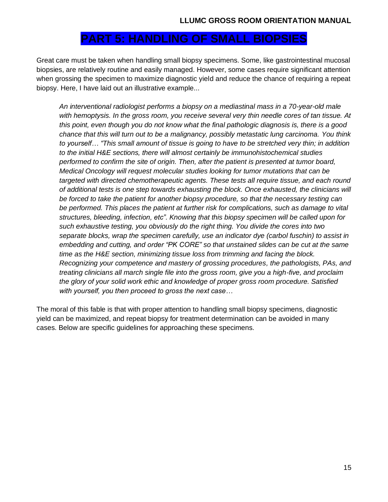### **PART 5: HANDLING OF SMALL BIOPSIES**

Great care must be taken when handling small biopsy specimens. Some, like gastrointestinal mucosal biopsies, are relatively routine and easily managed. However, some cases require significant attention when grossing the specimen to maximize diagnostic yield and reduce the chance of requiring a repeat biopsy. Here, I have laid out an illustrative example...

*An interventional radiologist performs a biopsy on a mediastinal mass in a 70-year-old male with hemoptysis. In the gross room, you receive several very thin needle cores of tan tissue. At this point, even though you do not know what the final pathologic diagnosis is, there is a good chance that this will turn out to be a malignancy, possibly metastatic lung carcinoma. You think to yourself… "This small amount of tissue is going to have to be stretched very thin; in addition to the initial H&E sections, there will almost certainly be immunohistochemical studies performed to confirm the site of origin. Then, after the patient is presented at tumor board, Medical Oncology will request molecular studies looking for tumor mutations that can be targeted with directed chemotherapeutic agents. These tests all require tissue, and each round of additional tests is one step towards exhausting the block. Once exhausted, the clinicians will be forced to take the patient for another biopsy procedure, so that the necessary testing can*  be performed. This places the patient at further risk for complications, such as damage to vital *structures, bleeding, infection, etc". Knowing that this biopsy specimen will be called upon for such exhaustive testing, you obviously do the right thing. You divide the cores into two separate blocks, wrap the specimen carefully, use an indicator dye (carbol fuschin) to assist in embedding and cutting, and order "PK CORE" so that unstained slides can be cut at the same time as the H&E section, minimizing tissue loss from trimming and facing the block. Recognizing your competence and mastery of grossing procedures, the pathologists, PAs, and treating clinicians all march single file into the gross room, give you a high-five, and proclaim the glory of your solid work ethic and knowledge of proper gross room procedure. Satisfied with yourself, you then proceed to gross the next case…*

The moral of this fable is that with proper attention to handling small biopsy specimens, diagnostic yield can be maximized, and repeat biopsy for treatment determination can be avoided in many cases. Below are specific guidelines for approaching these specimens.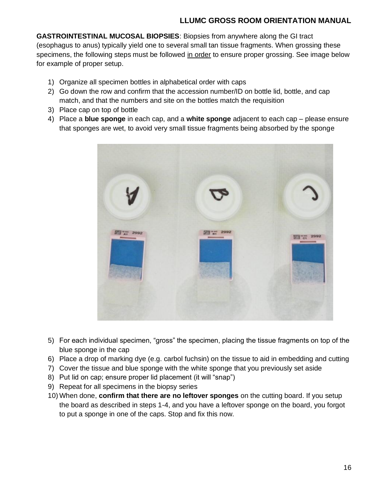**GASTROINTESTINAL MUCOSAL BIOPSIES**: Biopsies from anywhere along the GI tract (esophagus to anus) typically yield one to several small tan tissue fragments. When grossing these specimens, the following steps must be followed in order to ensure proper grossing. See image below for example of proper setup.

- 1) Organize all specimen bottles in alphabetical order with caps
- 2) Go down the row and confirm that the accession number/ID on bottle lid, bottle, and cap match, and that the numbers and site on the bottles match the requisition
- 3) Place cap on top of bottle
- 4) Place a **blue sponge** in each cap, and a **white sponge** adjacent to each cap please ensure that sponges are wet, to avoid very small tissue fragments being absorbed by the sponge



- 5) For each individual specimen, "gross" the specimen, placing the tissue fragments on top of the blue sponge in the cap
- 6) Place a drop of marking dye (e.g. carbol fuchsin) on the tissue to aid in embedding and cutting
- 7) Cover the tissue and blue sponge with the white sponge that you previously set aside
- 8) Put lid on cap; ensure proper lid placement (it will "snap")
- 9) Repeat for all specimens in the biopsy series
- 10) When done, **confirm that there are no leftover sponges** on the cutting board. If you setup the board as described in steps 1-4, and you have a leftover sponge on the board, you forgot to put a sponge in one of the caps. Stop and fix this now.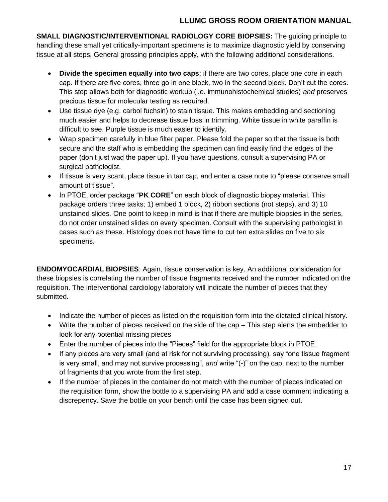**SMALL DIAGNOSTIC/INTERVENTIONAL RADIOLOGY CORE BIOPSIES:** The guiding principle to handling these small yet critically-important specimens is to maximize diagnostic yield by conserving tissue at all steps. General grossing principles apply, with the following additional considerations.

- **Divide the specimen equally into two caps**; if there are two cores, place one core in each cap. If there are five cores, three go in one block, two in the second block. Don't cut the cores. This step allows both for diagnostic workup (i.e. immunohistochemical studies) *and* preserves precious tissue for molecular testing as required.
- Use tissue dye (e.g. carbol fuchsin) to stain tissue. This makes embedding and sectioning much easier and helps to decrease tissue loss in trimming. White tissue in white paraffin is difficult to see. Purple tissue is much easier to identify.
- Wrap specimen carefully in blue filter paper. Please fold the paper so that the tissue is both secure and the staff who is embedding the specimen can find easily find the edges of the paper (don't just wad the paper up). If you have questions, consult a supervising PA or surgical pathologist.
- If tissue is very scant, place tissue in tan cap, and enter a case note to "please conserve small amount of tissue".
- In PTOE, order package "**PK CORE**" on each block of diagnostic biopsy material. This package orders three tasks; 1) embed 1 block, 2) ribbon sections (not steps), and 3) 10 unstained slides. One point to keep in mind is that if there are multiple biopsies in the series, do not order unstained slides on every specimen. Consult with the supervising pathologist in cases such as these. Histology does not have time to cut ten extra slides on five to six specimens.

**ENDOMYOCARDIAL BIOPSIES**: Again, tissue conservation is key. An additional consideration for these biopsies is correlating the number of tissue fragments received and the number indicated on the requisition. The interventional cardiology laboratory will indicate the number of pieces that they submitted.

- Indicate the number of pieces as listed on the requisition form into the dictated clinical history.
- Write the number of pieces received on the side of the cap This step alerts the embedder to look for any potential missing pieces
- Enter the number of pieces into the "Pieces" field for the appropriate block in PTOE.
- If any pieces are very small (and at risk for not surviving processing), say "one tissue fragment is very small, and may not survive processing", *and* write "(-)" on the cap, next to the number of fragments that you wrote from the first step.
- If the number of pieces in the container do not match with the number of pieces indicated on the requisition form, show the bottle to a supervising PA and add a case comment indicating a discrepency. Save the bottle on your bench until the case has been signed out.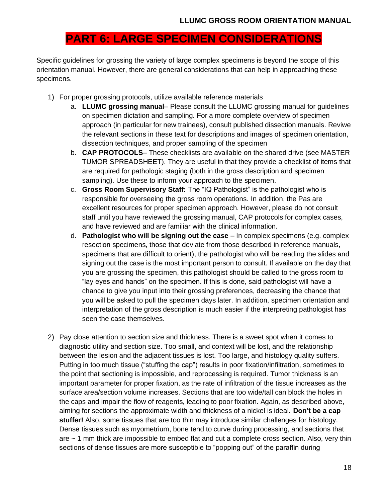### **PART 6: LARGE SPECIMEN CONSIDERATIONS**

Specific guidelines for grossing the variety of large complex specimens is beyond the scope of this orientation manual. However, there are general considerations that can help in approaching these specimens.

- 1) For proper grossing protocols, utilize available reference materials
	- a. **LLUMC grossing manual** Please consult the LLUMC grossing manual for guidelines on specimen dictation and sampling. For a more complete overview of specimen approach (in particular for new trainees), consult published dissection manuals. Reviwe the relevant sections in these text for descriptions and images of specimen orientation, dissection techniques, and proper sampling of the specimen
	- b. **CAP PROTOCOLS** These checklists are available on the shared drive (see MASTER TUMOR SPREADSHEET). They are useful in that they provide a checklist of items that are required for pathologic staging (both in the gross description and specimen sampling). Use these to inform your approach to the specimen.
	- c. **Gross Room Supervisory Staff:** The "IQ Pathologist" is the pathologist who is responsible for overseeing the gross room operations. In addition, the Pas are excellent resources for proper specimen approach. However, please do not consult staff until you have reviewed the grossing manual, CAP protocols for complex cases, and have reviewed and are familiar with the clinical information.
	- d. **Pathologist who will be signing out the case** In complex specimens (e.g. complex resection specimens, those that deviate from those described in reference manuals, specimens that are difficult to orient), the pathologist who will be reading the slides and signing out the case is the most important person to consult. If available on the day that you are grossing the specimen, this pathologist should be called to the gross room to "lay eyes and hands" on the specimen. If this is done, said pathologist will have a chance to give you input into their grossing preferences, decreasing the chance that you will be asked to pull the specimen days later. In addition, specimen orientation and interpretation of the gross description is much easier if the interpreting pathologist has seen the case themselves.
- 2) Pay close attention to section size and thickness. There is a sweet spot when it comes to diagnostic utility and section size. Too small, and context will be lost, and the relationship between the lesion and the adjacent tissues is lost. Too large, and histology quality suffers. Putting in too much tissue ("stuffing the cap") results in poor fixation/infiltration, sometimes to the point that sectioning is impossible, and reprocessing is required. Tumor thickness is an important parameter for proper fixation, as the rate of infiltration of the tissue increases as the surface area/section volume increases. Sections that are too wide/tall can block the holes in the caps and impair the flow of reagents, leading to poor fixation. Again, as described above, aiming for sections the approximate width and thickness of a nickel is ideal. **Don't be a cap stuffer!** Also, some tissues that are too thin may introduce similar challenges for histology. Dense tissues such as myometrium, bone tend to curve during processing, and sections that are ~ 1 mm thick are impossible to embed flat and cut a complete cross section. Also, very thin sections of dense tissues are more susceptible to "popping out" of the paraffin during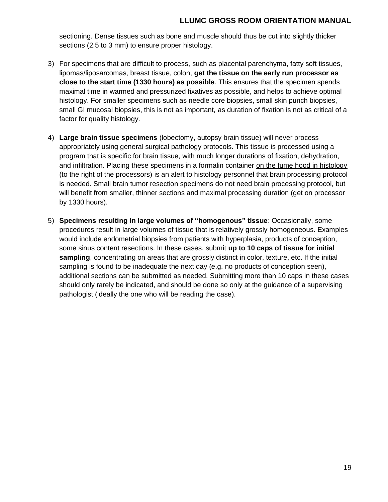sectioning. Dense tissues such as bone and muscle should thus be cut into slightly thicker sections (2.5 to 3 mm) to ensure proper histology.

- 3) For specimens that are difficult to process, such as placental parenchyma, fatty soft tissues, lipomas/liposarcomas, breast tissue, colon, **get the tissue on the early run processor as close to the start time (1330 hours) as possible**. This ensures that the specimen spends maximal time in warmed and pressurized fixatives as possible, and helps to achieve optimal histology. For smaller specimens such as needle core biopsies, small skin punch biopsies, small GI mucosal biopsies, this is not as important, as duration of fixation is not as critical of a factor for quality histology.
- 4) **Large brain tissue specimens** (lobectomy, autopsy brain tissue) will never process appropriately using general surgical pathology protocols. This tissue is processed using a program that is specific for brain tissue, with much longer durations of fixation, dehydration, and infiltration. Placing these specimens in a formalin container on the fume hood in histology (to the right of the processors) is an alert to histology personnel that brain processing protocol is needed. Small brain tumor resection specimens do not need brain processing protocol, but will benefit from smaller, thinner sections and maximal processing duration (get on processor by 1330 hours).
- 5) **Specimens resulting in large volumes of "homogenous" tissue**: Occasionally, some procedures result in large volumes of tissue that is relatively grossly homogeneous. Examples would include endometrial biopsies from patients with hyperplasia, products of conception, some sinus content resections. In these cases, submit **up to 10 caps of tissue for initial sampling**, concentrating on areas that are grossly distinct in color, texture, etc. If the initial sampling is found to be inadequate the next day (e.g. no products of conception seen), additional sections can be submitted as needed. Submitting more than 10 caps in these cases should only rarely be indicated, and should be done so only at the guidance of a supervising pathologist (ideally the one who will be reading the case).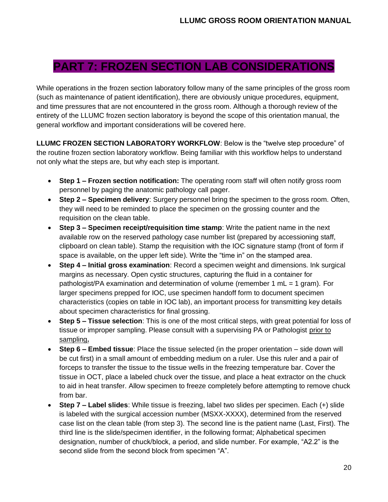### **PART 7: FROZEN SECTION LAB CONSIDERATIONS**

While operations in the frozen section laboratory follow many of the same principles of the gross room (such as maintenance of patient identification), there are obviously unique procedures, equipment, and time pressures that are not encountered in the gross room. Although a thorough review of the entirety of the LLUMC frozen section laboratory is beyond the scope of this orientation manual, the general workflow and important considerations will be covered here.

**LLUMC FROZEN SECTION LABORATORY WORKFLOW**: Below is the "twelve step procedure" of the routine frozen section laboratory workflow. Being familiar with this workflow helps to understand not only what the steps are, but why each step is important.

- **Step 1 – Frozen section notification:** The operating room staff will often notify gross room personnel by paging the anatomic pathology call pager.
- **Step 2 – Specimen delivery**: Surgery personnel bring the specimen to the gross room. Often, they will need to be reminded to place the specimen on the grossing counter and the requisition on the clean table.
- **Step 3 – Specimen receipt/requisition time stamp**: Write the patient name in the next available row on the reserved pathology case number list (prepared by accessioning staff, clipboard on clean table). Stamp the requisition with the IOC signature stamp (front of form if space is available, on the upper left side). Write the "time in" on the stamped area.
- **Step 4 – Initial gross examination**: Record a specimen weight and dimensions. Ink surgical margins as necessary. Open cystic structures, capturing the fluid in a container for pathologist/PA examination and determination of volume (remember 1 mL = 1 gram). For larger specimens prepped for IOC, use specimen handoff form to document specimen characteristics (copies on table in IOC lab), an important process for transmitting key details about specimen characteristics for final grossing.
- **Step 5 – Tissue selection**: This is one of the most critical steps, with great potential for loss of tissue or improper sampling. Please consult with a supervising PA or Pathologist prior to sampling**.**
- **Step 6 – Embed tissue**: Place the tissue selected (in the proper orientation side down will be cut first) in a small amount of embedding medium on a ruler. Use this ruler and a pair of forceps to transfer the tissue to the tissue wells in the freezing temperature bar. Cover the tissue in OCT, place a labeled chuck over the tissue, and place a heat extractor on the chuck to aid in heat transfer. Allow specimen to freeze completely before attempting to remove chuck from bar.
- **Step 7 – Label slides**: While tissue is freezing, label two slides per specimen. Each (+) slide is labeled with the surgical accession number (MSXX-XXXX), determined from the reserved case list on the clean table (from step 3). The second line is the patient name (Last, First). The third line is the slide/specimen identifier, in the following format; Alphabetical specimen designation, number of chuck/block, a period, and slide number. For example, "A2.2" is the second slide from the second block from specimen "A".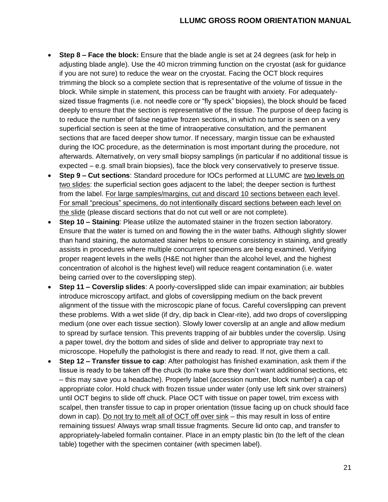- **Step 8 – Face the block:** Ensure that the blade angle is set at 24 degrees (ask for help in adjusting blade angle). Use the 40 micron trimming function on the cryostat (ask for guidance if you are not sure) to reduce the wear on the cryostat. Facing the OCT block requires trimming the block so a complete section that is representative of the volume of tissue in the block. While simple in statement, this process can be fraught with anxiety. For adequatelysized tissue fragments (i.e. not needle core or "fly speck" biopsies), the block should be faced deeply to ensure that the section is representative of the tissue. The purpose of deep facing is to reduce the number of false negative frozen sections, in which no tumor is seen on a very superficial section is seen at the time of intraoperative consultation, and the permanent sections that are faced deeper show tumor. If necessary, margin tissue can be exhausted during the IOC procedure, as the determination is most important during the procedure, not afterwards. Alternatively, on very small biopsy samplings (in particular if no additional tissue is expected – e.g. small brain biopsies), face the block very conservatively to preserve tissue.
- **Step 9 – Cut sections**: Standard procedure for IOCs performed at LLUMC are two levels on two slides: the superficial section goes adjacent to the label; the deeper section is furthest from the label. For large samples/margins, cut and discard 10 sections between each level. For small "precious" specimens, do not intentionally discard sections between each level on the slide (please discard sections that do not cut well or are not complete).
- **Step 10 – Staining**: Please utilize the automated stainer in the frozen section laboratory. Ensure that the water is turned on and flowing the in the water baths. Although slightly slower than hand staining, the automated stainer helps to ensure consistency in staining, and greatly assists in procedures where multiple concurrent specimens are being examined. Verifying proper reagent levels in the wells (H&E not higher than the alcohol level, and the highest concentration of alcohol is the highest level) will reduce reagent contamination (i.e. water being carried over to the coverslipping step).
- **Step 11 – Coverslip slides**: A poorly-coverslipped slide can impair examination; air bubbles introduce microscopy artifact, and globs of coverslipping medium on the back prevent alignment of the tissue with the microscopic plane of focus. Careful coverslipping can prevent these problems. With a wet slide (if dry, dip back in Clear-rite), add two drops of coverslipping medium (one over each tissue section). Slowly lower coverslip at an angle and allow medium to spread by surface tension. This prevents trapping of air bubbles under the coverslip. Using a paper towel, dry the bottom and sides of slide and deliver to appropriate tray next to microscope. Hopefully the pathologist is there and ready to read. If not, give them a call.
- **Step 12 – Transfer tissue to cap**: After pathologist has finished examination, ask them if the tissue is ready to be taken off the chuck (to make sure they don't want additional sections, etc – this may save you a headache). Properly label (accession number, block number) a cap of appropriate color. Hold chuck with frozen tissue under water (only use left sink over strainers) until OCT begins to slide off chuck. Place OCT with tissue on paper towel, trim excess with scalpel, then transfer tissue to cap in proper orientation (tissue facing up on chuck should face down in cap). Do not try to melt all of OCT off over sink – this may result in loss of entire remaining tissues! Always wrap small tissue fragments. Secure lid onto cap, and transfer to appropriately-labeled formalin container. Place in an empty plastic bin (to the left of the clean table) together with the specimen container (with specimen label).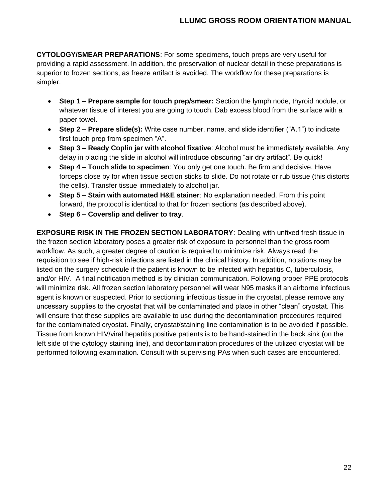**CYTOLOGY/SMEAR PREPARATIONS**: For some specimens, touch preps are very useful for providing a rapid assessment. In addition, the preservation of nuclear detail in these preparations is superior to frozen sections, as freeze artifact is avoided. The workflow for these preparations is simpler.

- **Step 1 – Prepare sample for touch prep/smear:** Section the lymph node, thyroid nodule, or whatever tissue of interest you are going to touch. Dab excess blood from the surface with a paper towel.
- **Step 2 – Prepare slide(s):** Write case number, name, and slide identifier ("A.1") to indicate first touch prep from specimen "A".
- **Step 3 – Ready Coplin jar with alcohol fixative**: Alcohol must be immediately available. Any delay in placing the slide in alcohol will introduce obscuring "air dry artifact". Be quick!
- **Step 4 – Touch slide to specimen**: You only get one touch. Be firm and decisive. Have forceps close by for when tissue section sticks to slide. Do not rotate or rub tissue (this distorts the cells). Transfer tissue immediately to alcohol jar.
- **Step 5 – Stain with automated H&E stainer**: No explanation needed. From this point forward, the protocol is identical to that for frozen sections (as described above).
- **Step 6 – Coverslip and deliver to tray**.

**EXPOSURE RISK IN THE FROZEN SECTION LABORATORY**: Dealing with unfixed fresh tissue in the frozen section laboratory poses a greater risk of exposure to personnel than the gross room workflow. As such, a greater degree of caution is required to minimize risk. Always read the requisition to see if high-risk infections are listed in the clinical history. In addition, notations may be listed on the surgery schedule if the patient is known to be infected with hepatitis C, tuberculosis, and/or HIV. A final notification method is by clinician communication. Following proper PPE protocols will minimize risk. All frozen section laboratory personnel will wear N95 masks if an airborne infectious agent is known or suspected. Prior to sectioning infectious tissue in the cryostat, please remove any uncessary supplies to the cryostat that will be contaminated and place in other "clean" cryostat. This will ensure that these supplies are available to use during the decontamination procedures required for the contaminated cryostat. Finally, cryostat/staining line contamination is to be avoided if possible. Tissue from known HIV/viral hepatitis positive patients is to be hand-stained in the back sink (on the left side of the cytology staining line), and decontamination procedures of the utilized cryostat will be performed following examination. Consult with supervising PAs when such cases are encountered.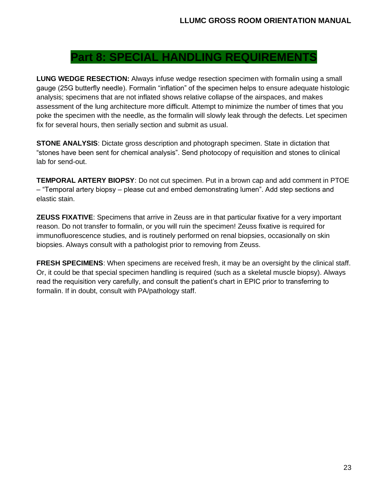### **Part 8: SPECIAL HANDLING REQUIREMEN**

**LUNG WEDGE RESECTION:** Always infuse wedge resection specimen with formalin using a small gauge (25G butterfly needle). Formalin "inflation" of the specimen helps to ensure adequate histologic analysis; specimens that are not inflated shows relative collapse of the airspaces, and makes assessment of the lung architecture more difficult. Attempt to minimize the number of times that you poke the specimen with the needle, as the formalin will slowly leak through the defects. Let specimen fix for several hours, then serially section and submit as usual.

**STONE ANALYSIS**: Dictate gross description and photograph specimen. State in dictation that "stones have been sent for chemical analysis". Send photocopy of requisition and stones to clinical lab for send-out.

**TEMPORAL ARTERY BIOPSY**: Do not cut specimen. Put in a brown cap and add comment in PTOE – "Temporal artery biopsy – please cut and embed demonstrating lumen". Add step sections and elastic stain.

**ZEUSS FIXATIVE**: Specimens that arrive in Zeuss are in that particular fixative for a very important reason. Do not transfer to formalin, or you will ruin the specimen! Zeuss fixative is required for immunofluorescence studies, and is routinely performed on renal biopsies, occasionally on skin biopsies. Always consult with a pathologist prior to removing from Zeuss.

**FRESH SPECIMENS:** When specimens are received fresh, it may be an oversight by the clinical staff. Or, it could be that special specimen handling is required (such as a skeletal muscle biopsy). Always read the requisition very carefully, and consult the patient's chart in EPIC prior to transferring to formalin. If in doubt, consult with PA/pathology staff.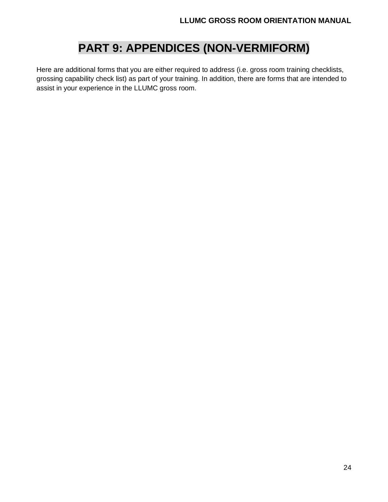## **PART 9: APPENDICES (NON-VERMIFORM)**

Here are additional forms that you are either required to address (i.e. gross room training checklists, grossing capability check list) as part of your training. In addition, there are forms that are intended to assist in your experience in the LLUMC gross room.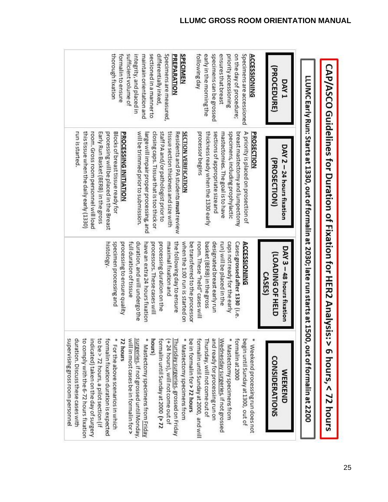|                                                                          | <b>CAP/ASCO Guidelines for Duration of Fixation for HER2 Analysis</b>                                      |                                                                  | $\frac{1}{2}$ 5 hours, < 72 hours                                                           |
|--------------------------------------------------------------------------|------------------------------------------------------------------------------------------------------------|------------------------------------------------------------------|---------------------------------------------------------------------------------------------|
|                                                                          | LLUMC Early Run: Starts at 1330, out of formalin at 2030; late run starts at 1500, out of formalin at 2200 |                                                                  |                                                                                             |
| (PROCEDURE)<br><b>DAY1</b>                                               | DAY 2 - 24 hours fixation<br>PROSECTION)                                                                   | DAY 3 - 48 hours fixation<br>(LOADING OF HELD<br>CASES)          | <b>CONSIDERATIONS</b><br><b>MEEKEND</b>                                                     |
| Specimens are accessioned<br><b>ACCESSIONING</b>                         | PROSECTION<br>breast mastectomy and lumpectomy<br>A priority is placed on prosection of                    | Cases grossed after 1330 (i.e.<br><b>ACCESSIONING</b>            | formalin at 2000<br>begin until Sunday at 1300, out of<br>* Weekend processing run does not |
| on the day of procedure;<br>ensures that breast<br>priority accessioning | specimens, including prophylactic<br>mastectomies. The goal is to have                                     | run) will be placed in the<br>caps not ready for the early       | Wednesday surgeries, if not grossed<br>* Mastectomy specimens from                          |
| early in the morning the<br>specimens can be grossed                     | thickness ready when the 1330 early<br>sections of appropriate size and                                    | basket (BERB) in the gross<br>designated breast early run        | and ready for processing run on<br>Thursday, will not come out of                           |
| following day                                                            | processor begins                                                                                           | room. These "held" cases will<br>be transferred to the processor | be in formalin for > 72 hours<br>formalin until Sunday at 2000, and will                    |
| SPECIMEN                                                                 | <b>SECTION VERIFICATION</b>                                                                                | when the 1:00 run is started on                                  | ₩<br>Mastectomy specimens from                                                              |
| Specimens are measured,<br>PREPARATION                                   | tissue section thickness and size with<br>Residents and PA students must review                            | the following day to ensure<br>maximal fixation and              | Thursday surgeries, grossed on Friday<br>$(+24$ hours), will not come out of                |
| differentially inked,                                                    | staff PA and/or pathologist prior to<br>closing caps. Tissue that is too thick or                          | processors. These cases will<br>processing duration on the       | formalin until Sunday at 2000 (> 72                                                         |
| sectioned in a manner to<br>maintain orientation and                     | large will impair proper processing, and                                                                   | have an extra 24 hours fixation                                  | hours)<br>* Mastectomy specimens from Friday                                                |
| integrity, and placed in                                                 | will be trimmed prior to submission.                                                                       | full duration of tissue<br>duration, and will undergo the        | will in most cases be in formalin for ><br>surgeries, if not grossed until Monday,          |
| formalin to ensure<br>sufficient volume of                               | PROCESSING INITIATION                                                                                      | processing to ensure quality                                     | 72 hours                                                                                    |
| thorough fixation                                                        | Blocks of breast tissue ready for<br>processing will be placed in the Breast                               | specimen processing and<br>histology.                            | formalin fixation duration is expected<br>* For the above scenarios in which                |
|                                                                          | Early Run Basket (BERB) in the gross                                                                       |                                                                  | to be > 72 hours, a pilot section (if                                                       |
|                                                                          | this tissue when the daily early (1330)<br>room. Gross room personnel will load                            |                                                                  | to comply with the 6-72 hours fixation<br>indicated) taken on the day of surgery            |
|                                                                          | run is started.                                                                                            |                                                                  | duration. Discuss these cases with                                                          |
|                                                                          |                                                                                                            |                                                                  | supervising gross room personnel                                                            |

 $\pi$